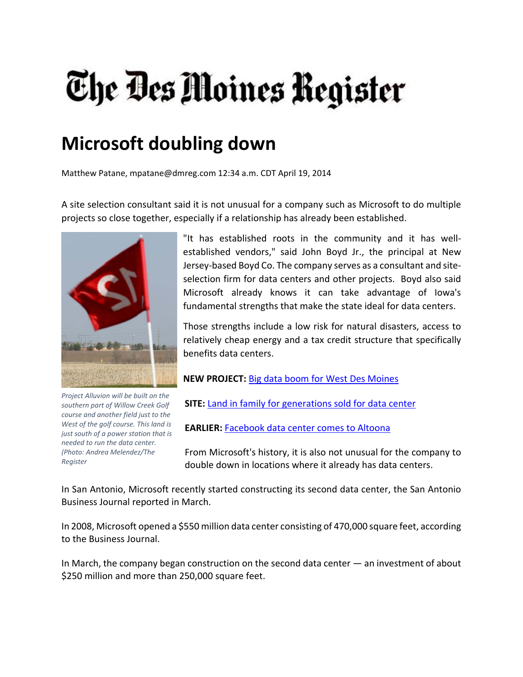## The Des Moines Register

## **Microsoft doubling down**

Matthew Patane, mpatane@dmreg.com 12:34 a.m. CDT April 19, 2014

A site selection consultant said it is not unusual for a company such as Microsoft to do multiple projects so close together, especially if a relationship has already been established.



*Project Alluvion will be built on the southern part of Willow Creek Golf course and another field just to the West of the golf course. This land is just south of a power station that is needed to run the data center. (Photo: Andrea Melendez/The Register*

"It has established roots in the community and it has well‐ established vendors," said John Boyd Jr., the principal at New Jersey‐based Boyd Co. The company serves as a consultant and site‐ selection firm for data centers and other projects. Boyd also said Microsoft already knows it can take advantage of Iowa's fundamental strengths that make the state ideal for data centers.

Those strengths include a low risk for natural disasters, access to relatively cheap energy and a tax credit structure that specifically benefits data centers.

**NEW PROJECT:** Big data boom for West Des Moines

**SITE:** Land in family for generations sold for data center

**EARLIER:** Facebook data center comes to Altoona

From Microsoft's history, it is also not unusual for the company to double down in locations where it already has data centers.

In San Antonio, Microsoft recently started constructing its second data center, the San Antonio Business Journal reported in March.

In 2008, Microsoft opened a \$550 million data center consisting of 470,000 square feet, according to the Business Journal.

In March, the company began construction on the second data center — an investment of about \$250 million and more than 250,000 square feet.